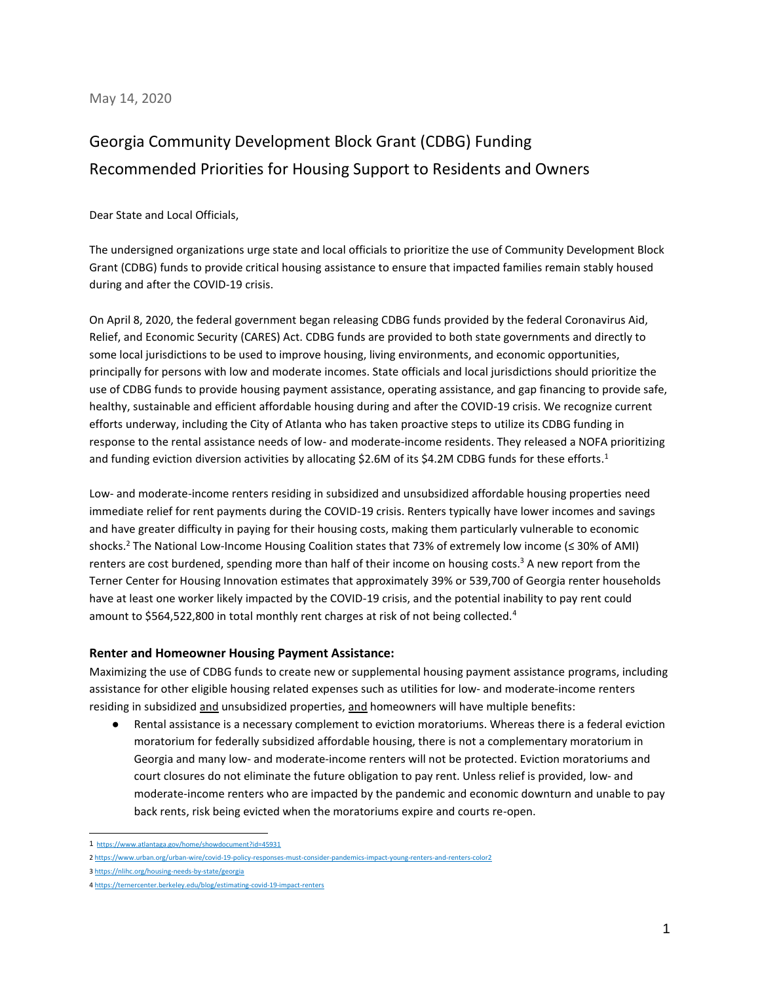## May 14, 2020

## Georgia Community Development Block Grant (CDBG) Funding Recommended Priorities for Housing Support to Residents and Owners

Dear State and Local Officials,

The undersigned organizations urge state and local officials to prioritize the use of Community Development Block Grant (CDBG) funds to provide critical housing assistance to ensure that impacted families remain stably housed during and after the COVID-19 crisis.

On April 8, 2020, the federal government began releasing CDBG funds provided by the federal Coronavirus Aid, Relief, and Economic Security (CARES) Act. CDBG funds are provided to both state governments and directly to some local jurisdictions to be used to improve housing, living environments, and economic opportunities, principally for persons with low and moderate incomes. State officials and local jurisdictions should prioritize the use of CDBG funds to provide housing payment assistance, operating assistance, and gap financing to provide safe, healthy, sustainable and efficient affordable housing during and after the COVID-19 crisis. We recognize current efforts underway, including the City of Atlanta who has taken proactive steps to utilize its CDBG funding in response to the rental assistance needs of low- and moderate-income residents. They released a NOFA prioritizing and funding eviction diversion activities by allocating \$2.6M of its \$4.2M CDBG funds for these efforts.<sup>1</sup>

Low- and moderate-income renters residing in subsidized and unsubsidized affordable housing properties need immediate relief for rent payments during the COVID-19 crisis. Renters typically have lower incomes and savings and have greater difficulty in paying for their housing costs, making them particularly vulnerable to economic shocks.<sup>2</sup> The National Low-Income Housing Coalition states that 73% of extremely low income (≤ 30% of AMI) renters are cost burdened, spending more than half of their income on housing costs.<sup>3</sup> A new report from the Terner Center for Housing Innovation estimates that approximately 39% or 539,700 of Georgia renter households have at least one worker likely impacted by the COVID-19 crisis, and the potential inability to pay rent could amount to \$564,522,800 in total monthly rent charges at risk of not being collected.<sup>4</sup>

## **Renter and Homeowner Housing Payment Assistance:**

Maximizing the use of CDBG funds to create new or supplemental housing payment assistance programs, including assistance for other eligible housing related expenses such as utilities for low- and moderate-income renters residing in subsidized and unsubsidized properties, and homeowners will have multiple benefits:

Rental assistance is a necessary complement to eviction moratoriums. Whereas there is a federal eviction moratorium for federally subsidized affordable housing, there is not a complementary moratorium in Georgia and many low- and moderate-income renters will not be protected. Eviction moratoriums and court closures do not eliminate the future obligation to pay rent. Unless relief is provided, low- and moderate-income renters who are impacted by the pandemic and economic downturn and unable to pay back rents, risk being evicted when the moratoriums expire and courts re-open.

<sup>1</sup> <https://www.atlantaga.gov/home/showdocument?id=45931>

<sup>2</sup> <https://www.urban.org/urban-wire/covid-19-policy-responses-must-consider-pandemics-impact-young-renters-and-renters-color2>

<sup>3</sup> <https://nlihc.org/housing-needs-by-state/georgia>

<sup>4</sup> <https://ternercenter.berkeley.edu/blog/estimating-covid-19-impact-renters>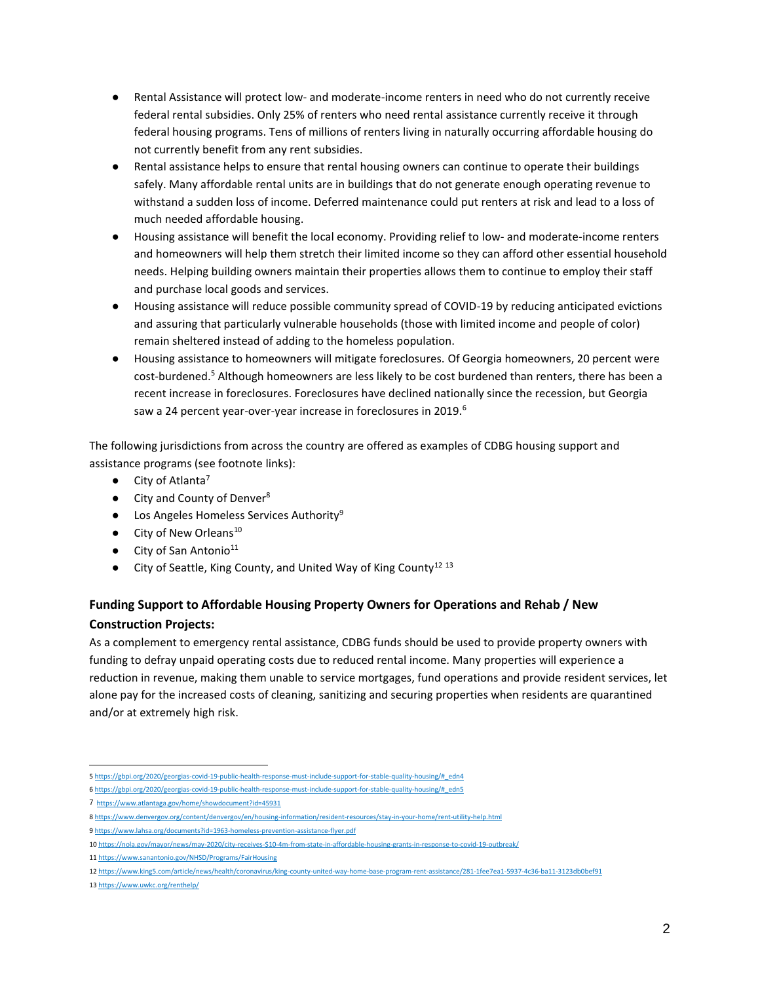- Rental Assistance will protect low- and moderate-income renters in need who do not currently receive federal rental subsidies. Only 25% of renters who need rental assistance currently receive it through federal housing programs. Tens of millions of renters living in naturally occurring affordable housing do not currently benefit from any rent subsidies.
- Rental assistance helps to ensure that rental housing owners can continue to operate their buildings safely. Many affordable rental units are in buildings that do not generate enough operating revenue to withstand a sudden loss of income. Deferred maintenance could put renters at risk and lead to a loss of much needed affordable housing.
- Housing assistance will benefit the local economy. Providing relief to low- and moderate-income renters and homeowners will help them stretch their limited income so they can afford other essential household needs. Helping building owners maintain their properties allows them to continue to employ their staff and purchase local goods and services.
- Housing assistance will reduce possible community spread of COVID-19 by reducing anticipated evictions and assuring that particularly vulnerable households (those with limited income and people of color) remain sheltered instead of adding to the homeless population.
- Housing assistance to homeowners will mitigate foreclosures. Of Georgia homeowners, 20 percent were cost-burdened.<sup>5</sup> Although homeowners are less likely to be cost burdened than renters, there has been a recent increase in foreclosures. Foreclosures have declined nationally since the recession, but Georgia saw a 24 percent year-over-year increase in foreclosures in 2019.<sup>6</sup>

The following jurisdictions from across the country are offered as examples of CDBG housing support and assistance programs (see footnote links):

- $\bullet$  City of Atlanta<sup>7</sup>
- City and County of Denver<sup>8</sup>
- Los Angeles Homeless Services Authority<sup>9</sup>
- $\bullet$  City of New Orleans<sup>10</sup>
- $\bullet$  City of San Antonio<sup>11</sup>
- $\bullet$  City of Seattle, King County, and United Way of King County<sup>12 13</sup>

## **Funding Support to Affordable Housing Property Owners for Operations and Rehab / New Construction Projects:**

As a complement to emergency rental assistance, CDBG funds should be used to provide property owners with funding to defray unpaid operating costs due to reduced rental income. Many properties will experience a reduction in revenue, making them unable to service mortgages, fund operations and provide resident services, let alone pay for the increased costs of cleaning, sanitizing and securing properties when residents are quarantined and/or at extremely high risk.

<sup>5</sup> [https://gbpi.org/2020/georgias-covid-19-public-health-response-must-include-support-for-stable-quality-housing/#\\_edn4](https://gbpi.org/2020/georgias-covid-19-public-health-response-must-include-support-for-stable-quality-housing/#_edn4)

<sup>6</sup> [https://gbpi.org/2020/georgias-covid-19-public-health-response-must-include-support-for-stable-quality-housing/#\\_edn5](https://gbpi.org/2020/georgias-covid-19-public-health-response-must-include-support-for-stable-quality-housing/#_edn5)

<sup>7</sup> <https://www.atlantaga.gov/home/showdocument?id=45931>

<sup>8</sup> <https://www.denvergov.org/content/denvergov/en/housing-information/resident-resources/stay-in-your-home/rent-utility-help.html>

<sup>9</sup> <https://www.lahsa.org/documents?id=1963-homeless-prevention-assistance-flyer.pdf>

<sup>10</sup> [https://nola.gov/mayor/news/may-2020/city-receives-\\$10-4m-from-state-in-affordable-housing-grants-in-response-to-covid-19-outbreak/](https://nola.gov/mayor/news/may-2020/city-receives-$10-4m-from-state-in-affordable-housing-grants-in-response-to-covid-19-outbreak/)

<sup>11</sup> <https://www.sanantonio.gov/NHSD/Programs/FairHousing>

<sup>12</sup> <https://www.king5.com/article/news/health/coronavirus/king-county-united-way-home-base-program-rent-assistance/281-1fee7ea1-5937-4c36-ba11-3123db0bef91>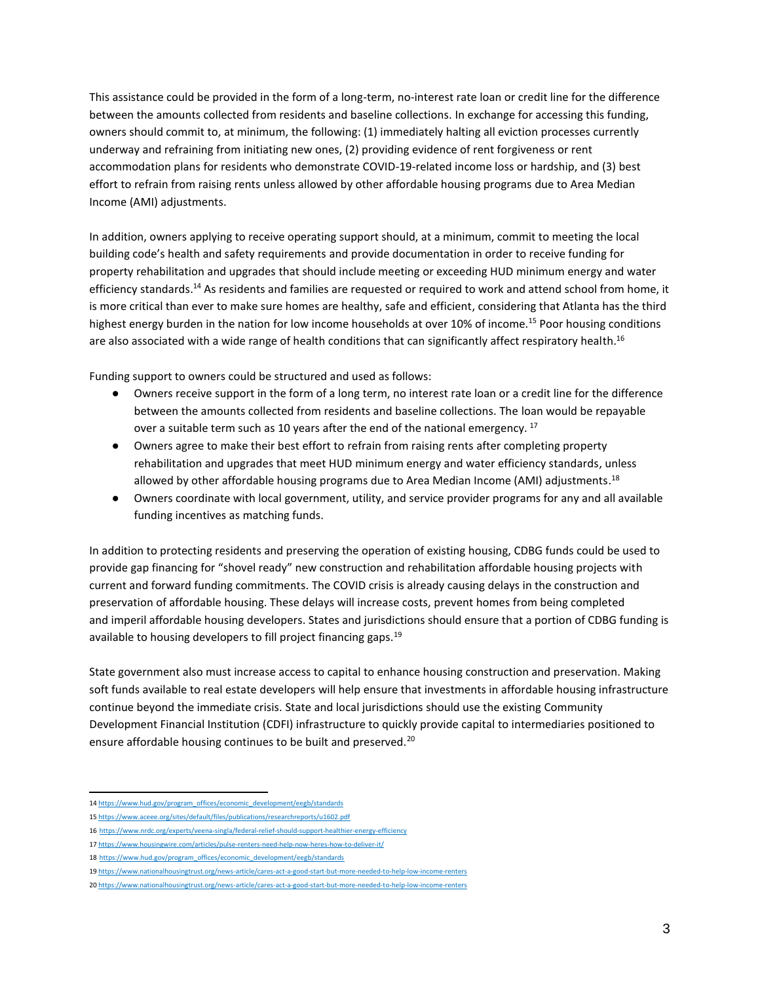This assistance could be provided in the form of a long-term, no-interest rate loan or credit line for the difference between the amounts collected from residents and baseline collections. In exchange for accessing this funding, owners should commit to, at minimum, the following: (1) immediately halting all eviction processes currently underway and refraining from initiating new ones, (2) providing evidence of rent forgiveness or rent accommodation plans for residents who demonstrate COVID-19-related income loss or hardship, and (3) best effort to refrain from raising rents unless allowed by other affordable housing programs due to Area Median Income (AMI) adjustments.

In addition, owners applying to receive operating support should, at a minimum, commit to meeting the local building code's health and safety requirements and provide documentation in order to receive funding for property rehabilitation and upgrades that should include meeting or exceeding HUD minimum energy and water efficiency standards.<sup>14</sup> As residents and families are requested or required to work and attend school from home, it is more critical than ever to make sure homes are healthy, safe and efficient, considering that Atlanta has the third highest energy burden in the nation for low income households at over 10% of income. <sup>15</sup> Poor housing conditions are also associated with a wide range of health conditions that can significantly affect respiratory health.<sup>16</sup>

Funding support to owners could be structured and used as follows:

- Owners receive support in the form of a long term, no interest rate loan or a credit line for the difference between the amounts collected from residents and baseline collections. The loan would be repayable over a suitable term such as 10 years after the end of the national emergency.<sup>17</sup>
- Owners agree to make their best effort to refrain from raising rents after completing property rehabilitation and upgrades that meet HUD minimum energy and water efficiency standards, unless allowed by other affordable housing programs due to Area Median Income (AMI) adjustments.<sup>18</sup>
- Owners coordinate with local government, utility, and service provider programs for any and all available funding incentives as matching funds.

In addition to protecting residents and preserving the operation of existing housing, CDBG funds could be used to provide gap financing for "shovel ready" new construction and rehabilitation affordable housing projects with current and forward funding commitments. The COVID crisis is already causing delays in the construction and preservation of affordable housing. These delays will increase costs, prevent homes from being completed and imperil affordable housing developers. States and jurisdictions should ensure that a portion of CDBG funding is available to housing developers to fill project financing gaps.<sup>19</sup>

State government also must increase access to capital to enhance housing construction and preservation. Making soft funds available to real estate developers will help ensure that investments in affordable housing infrastructure continue beyond the immediate crisis. State and local jurisdictions should use the existing Community Development Financial Institution (CDFI) infrastructure to quickly provide capital to intermediaries positioned to ensure affordable housing continues to be built and preserved.<sup>20</sup>

<sup>14</sup> [https://www.hud.gov/program\\_offices/economic\\_development/eegb/standards](https://www.hud.gov/program_offices/economic_development/eegb/standards)

<sup>15</sup> <https://www.aceee.org/sites/default/files/publications/researchreports/u1602.pdf>

<sup>16</sup> <https://www.nrdc.org/experts/veena-singla/federal-relief-should-support-healthier-energy-efficiency>

<sup>17</sup> <https://www.housingwire.com/articles/pulse-renters-need-help-now-heres-how-to-deliver-it/>

<sup>18</sup> [https://www.hud.gov/program\\_offices/economic\\_development/eegb/standards](https://www.hud.gov/program_offices/economic_development/eegb/standards)

<sup>19</sup> <https://www.nationalhousingtrust.org/news-article/cares-act-a-good-start-but-more-needed-to-help-low-income-renters>

<sup>20</sup> <https://www.nationalhousingtrust.org/news-article/cares-act-a-good-start-but-more-needed-to-help-low-income-renters>